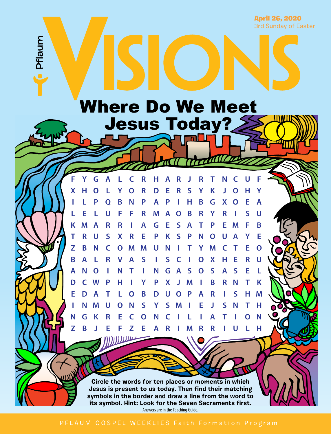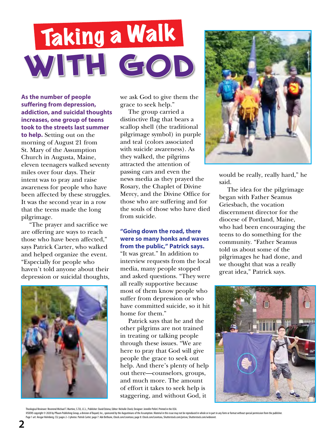# **With God** Taking a Walk

**As the number of people suffering from depression, addiction, and suicidal thoughts increases, one group of teens took to the streets last summer** 

**to help.** Setting out on the morning of August 21 from St. Mary of the Assumption Church in Augusta, Maine, eleven teenagers walked seventy miles over four days. Their intent was to pray and raise awareness for people who have been affected by these struggles. It was the second year in a row that the teens made the long pilgrimage.

"The prayer and sacrifice we are offering are ways to reach those who have been affected," says Patrick Carter, who walked and helped organize the event. "Especially for people who haven't told anyone about their depression or suicidal thoughts,



we ask God to give them the grace to seek help."

The group carried a distinctive flag that bears a scallop shell (the traditional pilgrimage symbol) in purple and teal (colors associated with suicide awareness). As they walked, the pilgrims attracted the attention of passing cars and even the news media as they prayed the Rosary, the Chaplet of Divine Mercy, and the Divine Office for those who are suffering and for the souls of those who have died from suicide.

#### **"Going down the road, there were so many honks and waves from the public," Patrick says.**

"It was great." In addition to interview requests from the local media, many people stopped and asked questions. "They were all really supportive because most of them know people who suffer from depression or who have committed suicide, so it hit home for them."

Patrick says that he and the other pilgrims are not trained in treating or talking people through these issues. "We are here to pray that God will give people the grace to seek out help. And there's plenty of help out there—counselors, groups, and much more. The amount of effort it takes to seek help is staggering, and without God, it



would be really, really hard," he said.

The idea for the pilgrimage began with Father Seamus Griesbach, the vocation discernment director for the diocese of Portland, Maine, who had been encouraging the teens to do something for the community. "Father Seamus told us about some of the pilgrimages he had done, and we thought that was a really great idea," Patrick says.



V/S/ONS copyright © 2020 by Pflaum Publishing Group, a division of Bayard, Inc., sponsored by the Augustinians of the Assumption. Material in this issue may not be reproduced in whole or in part in any form or format witho Page 1 art: Ansgar Holmberg, CSJ; pages 2–3 photos: Patrick Carter; page 7: Ade Bethune, iStock.com/Leontura; page 8: iStock.com/Leontura, Shutterstock.com/jorisvo, Shutterstock.com/wideonet.

Theological Reviewer: Reverend Michael T. Martine, S.T.B, J.C.L.; Publisher: David Dziena; Editor: Nicholle Check; Designer: Jennifer Poferl. Printed in the USA.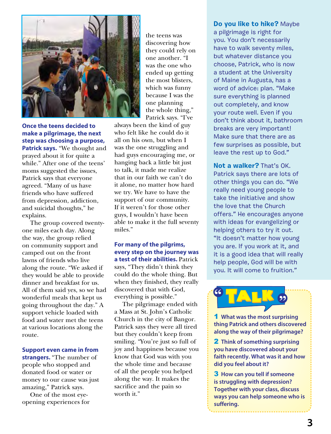

**Once the teens decided to make a pilgrimage, the next step was choosing a purpose, Patrick says.** "We thought and prayed about it for quite a while." After one of the teens' moms suggested the issues, Patrick says that everyone agreed. "Many of us have friends who have suffered from depression, addiction, and suicidal thoughts," he explains.

The group covered twentyone miles each day. Along the way, the group relied on community support and camped out on the front lawns of friends who live along the route. "We asked if they would be able to provide dinner and breakfast for us. All of them said yes, so we had wonderful meals that kept us going throughout the day." A support vehicle loaded with food and water met the teens at various locations along the route.

#### **Support even came in from**

**strangers.** "The number of people who stopped and donated food or water or money to our cause was just amazing," Patrick says.

One of the most eyeopening experiences for the teens was discovering how they could rely on one another. "I was the one who ended up getting the most blisters, which was funny because I was the one planning the whole thing," Patrick says. "I've

always been the kind of guy who felt like he could do it all on his own, but when I was the one struggling and had guys encouraging me, or hanging back a little bit just to talk, it made me realize that in our faith we can't do it alone, no matter how hard we try. We have to have the support of our community. If it weren't for those other guys, I wouldn't have been able to make it the full seventy miles."

#### **For many of the pilgrims, every step on the journey was a test of their abilities.** Patrick says, "They didn't think they

could do the whole thing. But when they finished, they really discovered that with God, everything is possible."

The pilgrimage ended with a Mass at St. John's Catholic Church in the city of Bangor. Patrick says they were all tired but they couldn't keep from smiling. "You're just so full of joy and happiness because you know that God was with you the whole time and because of all the people you helped along the way. It makes the sacrifice and the pain so worth it."

## **Do you like to hike?** Maybe

a pilgrimage is right for you. You don't necessarily have to walk seventy miles, but whatever distance you choose, Patrick, who is now a student at the University of Maine in Augusta, has a word of advice: plan. "Make sure everything is planned out completely, and know your route well. Even if you don't think about it, bathroom breaks are very important! Make sure that there are as few surprises as possible, but leave the rest up to God."

**Not a walker?** That's OK. Patrick says there are lots of other things you can do. "We really need young people to take the initiative and show the love that the Church offers." He encourages anyone with ideas for evangelizing or helping others to try it out. "It doesn't matter how young you are. If you work at it, and it is a good idea that will really help people, God will be with you. It will come to fruition."

**"** <sup>T</sup>AL<sup>k</sup> **"**

1 **What was the most surprising thing Patrick and others discovered along the way of their pilgrimage?**

2 **Think of something surprising you have discovered about your faith recently. What was it and how did you feel about it?**

3 **How can you tell if someone is struggling with depression? Together with your class, discuss ways you can help someone who is suffering.**

**3**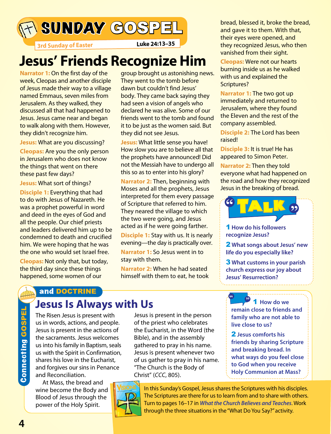SUNDAY GOSPEL bread, blessed it, broke the bread,

**3rd Sunday of Easter Luke 24:13–35**

## **Jesus' Friends Recognize Him**

**Narrator 1:** On the first day of the week, Cleopas and another disciple of Jesus made their way to a village named Emmaus, seven miles from Jerusalem. As they walked, they discussed all that had happened to Jesus. Jesus came near and began to walk along with them. However, they didn't recognize him.

**Jesus:** What are you discussing?

**Cleopas:** Are you the only person in Jerusalem who does not know the things that went on there these past few days?

**Jesus:** What sort of things?

**Disciple 1:** Everything that had to do with Jesus of Nazareth. He was a prophet powerful in word and deed in the eyes of God and all the people. Our chief priests and leaders delivered him up to be condemned to death and crucified him. We were hoping that he was the one who would set Israel free.

**Cleopas:** Not only that, but today, the third day since these things happened, some women of our

group brought us astonishing news. They went to the tomb before dawn but couldn't find Jesus' body. They came back saying they had seen a vision of angels who declared he was alive. Some of our friends went to the tomb and found it to be just as the women said. But they did not see Jesus.

**Jesus:** What little sense you have! How slow you are to believe all that the prophets have announced! Did not the Messiah have to undergo all this so as to enter into his glory?

**Narrator 2:** Then, beginning with Moses and all the prophets, Jesus interpreted for them every passage of Scripture that referred to him. They neared the village to which the two were going, and Jesus acted as if he were going farther.

**Disciple 1:** Stay with us. It is nearly evening—the day is practically over. **Narrator 1:** So Jesus went in to stay with them.

**Narrator 2:** When he had seated himself with them to eat, he took

and gave it to them. With that, their eyes were opened, and they recognized Jesus, who then vanished from their sight.

**Cleopas:** Were not our hearts burning inside us as he walked with us and explained the Scriptures?

**Narrator 1:** The two got up immediately and returned to Jerusalem, where they found the Eleven and the rest of the company assembled.

**Disciple 2:** The Lord has been raised!

**Disciple 3:** It is true! He has appeared to Simon Peter.

**Narrator 2:** Then they told everyone what had happened on the road and how they recognized Jesus in the breaking of bread.



1 **How do his followers recognize Jesus?** 

**live close to us?** 

**" "**

2 **Jesus comforts his** 

**friends by sharing Scripture and breaking bread. In what ways do you feel close to God when you receive** 

2 **What songs about Jesus' new life do you especially like?** 

3 **What customs in your parish church express our joy about Jesus' Resurrection?** 

1 **How do we remain close to friends and family who are not able to** 

. . . . . . . . . . . . . . . . . .

and DOCTRINE

## **Jesus Is Always with Us**

The Risen Jesus is present with us in words, actions, and people. Jesus is present in the actions of the sacraments. Jesus welcomes us into his family in Baptism, seals us with the Spirit in Confirmation, shares his love in the Eucharist, and forgives our sins in Penance and Reconciliation.

At Mass, the bread and wine become the Body and Blood of Jesus through the power of the Holy Spirit.

Jesus is present in the person of the priest who celebrates the Eucharist, in the Word (the Bible), and in the assembly gathered to pray in his name. Jesus is present whenever two of us gather to pray in his name. "The Church is the Body of Christ" (*CCC*, 805).



**Holy Communion at Mass?**  In this Sunday's Gospel, Jesus shares the Scriptures with his disciples. The Scriptures are there for us to learn from and to share with others. Turn to pages 16–17 in *What the Church Believes and Teaches*. Work through the three situations in the "What Do You Say?" activity.

**Connecting GOSPEL** Connecting GOSPEL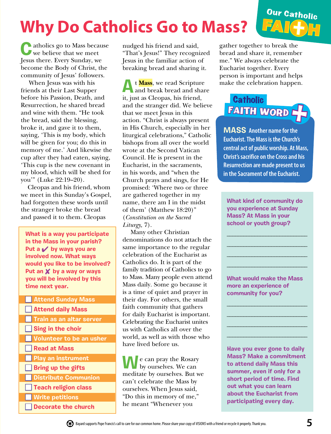## **Why Do Catholics Go to Mass?**

**C**atholics go to Mass because we believe that we meet Jesus there. Every Sunday, we become the Body of Christ, the community of Jesus' followers.

When Jesus was with his friends at their Last Supper before his Passion, Death, and Resurrection, he shared bread and wine with them. "He took the bread, said the blessing, broke it, and gave it to them, saying, 'This is my body, which will be given for you; do this in memory of me.' And likewise the cup after they had eaten, saying, 'This cup is the new covenant in my blood, which will be shed for you'" (Luke 22:19–20).

Cleopas and his friend, whom we meet in this Sunday's Gospel, had forgotten these words until the stranger broke the bread and passed it to them. Cleopas

**What is a way you participate in the Mass in your parish?**  Put a **√** by ways you are **involved now. What ways would you like to be involved? Put an X by a way or ways you will be involved by this time next year.**

**Attend Sunday Mass Attend daily Mass Train as an altar server Sing in the choir Volunteer to be an usher** n **Read at Mass Play an instrument Bring up the gifts n** Distribute Communion **n** Teach religion class **N** Write petitions **Decorate the church** 

nudged his friend and said, "That's Jesus!" They recognized Jesus in the familiar action of breaking bread and sharing it.

**A**t **Mass**, we read Scripture and break bread and share it, just as Cleopas, his friend, and the stranger did. We believe that we meet Jesus in this action. "Christ is always present in His Church, especially in her liturgical celebrations," Catholic bishops from all over the world wrote at the Second Vatican Council. He is present in the Eucharist, in the sacraments, in his words, and "when the Church prays and sings, for He promised: 'Where two or three are gathered together in my name, there am I in the midst of them' (Matthew 18:20)" (*Constitution on the Sacred Liturgy*, 7).

Many other Christian denominations do not attach the same importance to the regular celebration of the Eucharist as Catholics do. It is part of the family tradition of Catholics to go to Mass. Many people even attend Mass daily. Some go because it is a time of quiet and prayer in their day. For others, the small faith community that gathers for daily Eucharist is important. Celebrating the Eucharist unites us with Catholics all over the world, as well as with those who have lived before us.

**W**e can pray the Rosary by ourselves. We can meditate by ourselves. But we can't celebrate the Mass by ourselves. When Jesus said, "Do this in memory of me," he meant "Whenever you

gather together to break the bread and share it, remember me." We always celebrate the Eucharist together. Every person is important and helps make the celebration happen.

Our Catholic

**FAI H** 

## FAITH WORD I **Catholic**

**MASS Another name for the Eucharist. The Mass is the Church's central act of public worship. At Mass, Christ's sacrifice on the Cross and his Resurrection are made present to us in the Sacrament of the Eucharist.** 

**What kind of community do you experience at Sunday Mass? At Mass in your school or youth group?** 

\_\_\_\_\_\_\_\_\_\_\_\_\_\_\_\_\_\_\_\_\_\_\_\_\_\_\_\_\_ \_\_\_\_\_\_\_\_\_\_\_\_\_\_\_\_\_\_\_\_\_\_\_\_\_\_\_\_\_ \_\_\_\_\_\_\_\_\_\_\_\_\_\_\_\_\_\_\_\_\_\_\_\_\_\_\_\_\_ \_\_\_\_\_\_\_\_\_\_\_\_\_\_\_\_\_\_\_\_\_\_\_\_\_\_\_\_\_

**What would make the Mass more an experience of community for you?**

\_\_\_\_\_\_\_\_\_\_\_\_\_\_\_\_\_\_\_\_\_\_\_\_\_\_\_\_\_ \_\_\_\_\_\_\_\_\_\_\_\_\_\_\_\_\_\_\_\_\_\_\_\_\_\_\_\_\_ \_\_\_\_\_\_\_\_\_\_\_\_\_\_\_\_\_\_\_\_\_\_\_\_\_\_\_\_\_ \_\_\_\_\_\_\_\_\_\_\_\_\_\_\_\_\_\_\_\_\_\_\_\_\_\_\_\_\_

**Have you ever gone to daily Mass? Make a commitment to attend daily Mass this summer, even if only for a short period of time. Find out what you can learn about the Eucharist from participating every day.**

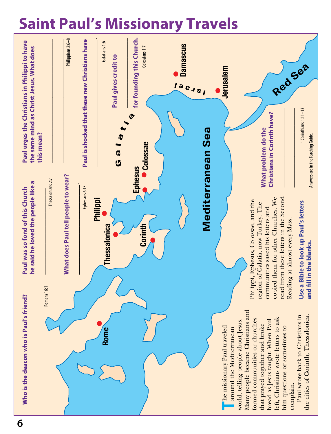## **Saint Paul's Missionary Travels**

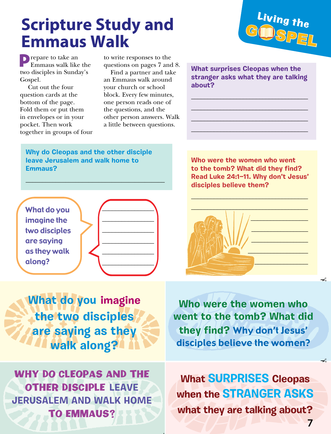## **Scripture Study and Emmaus Walk**



**Prepare to take an** Emmaus walk like the two disciples in Sunday's Gospel.

Cut out the four question cards at the bottom of the page. Fold them or put them in envelopes or in your pocket. Then work together in groups of four to write responses to the questions on pages 7 and 8.

Find a partner and take an Emmaus walk around your church or school block. Every few minutes, one person reads one of the questions, and the other person answers. Walk a little between questions.

. **.** 

**What surprises Cleopas when the stranger asks what they are talking about?**

\_\_\_\_\_\_\_\_\_\_\_\_\_\_\_\_\_\_\_\_\_\_\_\_\_\_\_\_\_\_\_\_\_\_\_\_ \_\_\_\_\_\_\_\_\_\_\_\_\_\_\_\_\_\_\_\_\_\_\_\_\_\_\_\_\_\_\_\_\_\_\_\_ \_\_\_\_\_\_\_\_\_\_\_\_\_\_\_\_\_\_\_\_\_\_\_\_\_\_\_\_\_\_\_\_\_\_\_\_ \_\_\_\_\_\_\_\_\_\_\_\_\_\_\_\_\_\_\_\_\_\_\_\_\_\_\_\_\_\_\_\_\_\_\_\_

**Why do Cleopas and the other disciple leave Jerusalem and walk home to Emmaus?**

\_\_\_\_\_\_\_\_\_\_\_\_\_\_\_\_\_\_\_\_\_\_\_\_\_\_\_\_\_\_\_\_\_\_\_\_\_\_\_\_\_\_



**What do you imagine the two disciples are saying as they walk along?**

**Who were the women who went to the tomb? What did they find? Read Luke 24:1—11. Why don't Jesus' disciples believe them?**



**Who were the women who went to the tomb? What did they find?** Why don't Jesus' disciples believe the women?

WHY DO CLEOPAS AND THE OTHER DISCIPLE **LEAVE JERUSALEM AND WALK HOME** TO EMMAUS?

**What SURPRISES Cleopas when the STRANGER ASKS what they are talking about?**

يمــ

 $\prec$